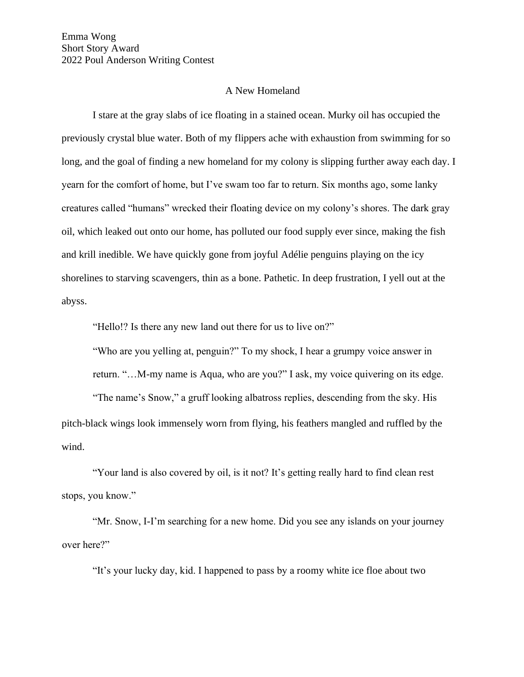## A New Homeland

I stare at the gray slabs of ice floating in a stained ocean. Murky oil has occupied the previously crystal blue water. Both of my flippers ache with exhaustion from swimming for so long, and the goal of finding a new homeland for my colony is slipping further away each day. I yearn for the comfort of home, but I've swam too far to return. Six months ago, some lanky creatures called "humans" wrecked their floating device on my colony's shores. The dark gray oil, which leaked out onto our home, has polluted our food supply ever since, making the fish and krill inedible. We have quickly gone from joyful Adélie penguins playing on the icy shorelines to starving scavengers, thin as a bone. Pathetic. In deep frustration, I yell out at the abyss.

"Hello!? Is there any new land out there for us to live on?"

"Who are you yelling at, penguin?" To my shock, I hear a grumpy voice answer in return. "…M-my name is Aqua, who are you?" I ask, my voice quivering on its edge.

"The name's Snow," a gruff looking albatross replies, descending from the sky. His pitch-black wings look immensely worn from flying, his feathers mangled and ruffled by the wind.

"Your land is also covered by oil, is it not? It's getting really hard to find clean rest stops, you know."

"Mr. Snow, I-I'm searching for a new home. Did you see any islands on your journey over here?"

"It's your lucky day, kid. I happened to pass by a roomy white ice floe about two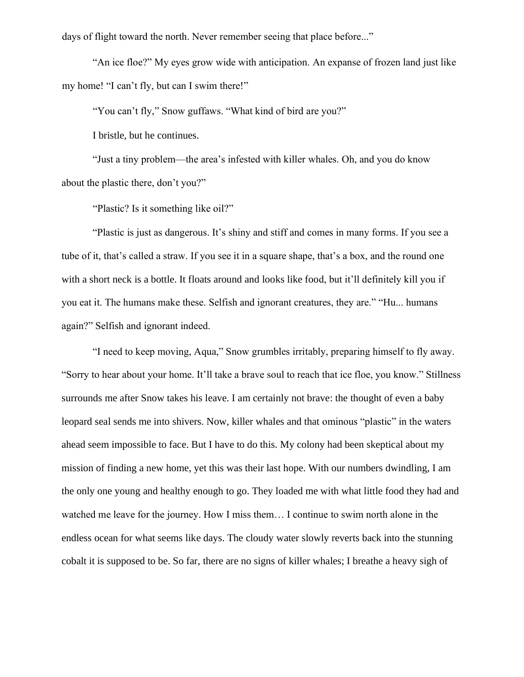days of flight toward the north. Never remember seeing that place before..."

"An ice floe?" My eyes grow wide with anticipation. An expanse of frozen land just like my home! "I can't fly, but can I swim there!"

"You can't fly," Snow guffaws. "What kind of bird are you?"

I bristle, but he continues.

"Just a tiny problem—the area's infested with killer whales. Oh, and you do know about the plastic there, don't you?"

"Plastic? Is it something like oil?"

"Plastic is just as dangerous. It's shiny and stiff and comes in many forms. If you see a tube of it, that's called a straw. If you see it in a square shape, that's a box, and the round one with a short neck is a bottle. It floats around and looks like food, but it'll definitely kill you if you eat it. The humans make these. Selfish and ignorant creatures, they are." "Hu... humans again?" Selfish and ignorant indeed.

"I need to keep moving, Aqua," Snow grumbles irritably, preparing himself to fly away. "Sorry to hear about your home. It'll take a brave soul to reach that ice floe, you know." Stillness surrounds me after Snow takes his leave. I am certainly not brave: the thought of even a baby leopard seal sends me into shivers. Now, killer whales and that ominous "plastic" in the waters ahead seem impossible to face. But I have to do this. My colony had been skeptical about my mission of finding a new home, yet this was their last hope. With our numbers dwindling, I am the only one young and healthy enough to go. They loaded me with what little food they had and watched me leave for the journey. How I miss them… I continue to swim north alone in the endless ocean for what seems like days. The cloudy water slowly reverts back into the stunning cobalt it is supposed to be. So far, there are no signs of killer whales; I breathe a heavy sigh of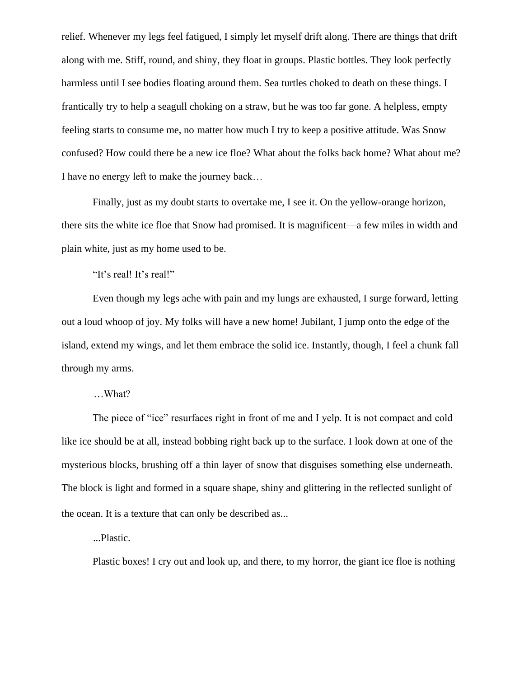relief. Whenever my legs feel fatigued, I simply let myself drift along. There are things that drift along with me. Stiff, round, and shiny, they float in groups. Plastic bottles. They look perfectly harmless until I see bodies floating around them. Sea turtles choked to death on these things. I frantically try to help a seagull choking on a straw, but he was too far gone. A helpless, empty feeling starts to consume me, no matter how much I try to keep a positive attitude. Was Snow confused? How could there be a new ice floe? What about the folks back home? What about me? I have no energy left to make the journey back…

Finally, just as my doubt starts to overtake me, I see it. On the yellow-orange horizon, there sits the white ice floe that Snow had promised. It is magnificent—a few miles in width and plain white, just as my home used to be.

"It's real! It's real!"

Even though my legs ache with pain and my lungs are exhausted, I surge forward, letting out a loud whoop of joy. My folks will have a new home! Jubilant, I jump onto the edge of the island, extend my wings, and let them embrace the solid ice. Instantly, though, I feel a chunk fall through my arms.

…What?

The piece of "ice" resurfaces right in front of me and I yelp. It is not compact and cold like ice should be at all, instead bobbing right back up to the surface. I look down at one of the mysterious blocks, brushing off a thin layer of snow that disguises something else underneath. The block is light and formed in a square shape, shiny and glittering in the reflected sunlight of the ocean. It is a texture that can only be described as...

...Plastic.

Plastic boxes! I cry out and look up, and there, to my horror, the giant ice floe is nothing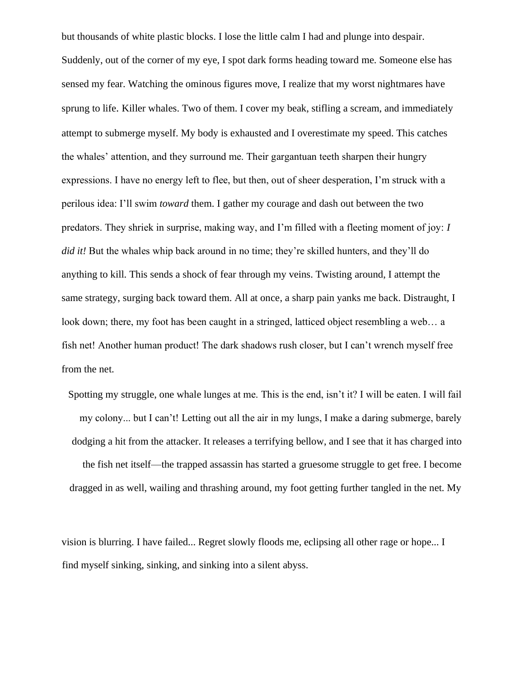but thousands of white plastic blocks. I lose the little calm I had and plunge into despair. Suddenly, out of the corner of my eye, I spot dark forms heading toward me. Someone else has sensed my fear. Watching the ominous figures move, I realize that my worst nightmares have sprung to life. Killer whales. Two of them. I cover my beak, stifling a scream, and immediately attempt to submerge myself. My body is exhausted and I overestimate my speed. This catches the whales' attention, and they surround me. Their gargantuan teeth sharpen their hungry expressions. I have no energy left to flee, but then, out of sheer desperation, I'm struck with a perilous idea: I'll swim *toward* them. I gather my courage and dash out between the two predators. They shriek in surprise, making way, and I'm filled with a fleeting moment of joy: *I did it!* But the whales whip back around in no time; they're skilled hunters, and they'll do anything to kill. This sends a shock of fear through my veins. Twisting around, I attempt the same strategy, surging back toward them. All at once, a sharp pain yanks me back. Distraught, I look down; there, my foot has been caught in a stringed, latticed object resembling a web… a fish net! Another human product! The dark shadows rush closer, but I can't wrench myself free from the net.

Spotting my struggle, one whale lunges at me. This is the end, isn't it? I will be eaten. I will fail my colony... but I can't! Letting out all the air in my lungs, I make a daring submerge, barely dodging a hit from the attacker. It releases a terrifying bellow, and I see that it has charged into the fish net itself—the trapped assassin has started a gruesome struggle to get free. I become dragged in as well, wailing and thrashing around, my foot getting further tangled in the net. My

vision is blurring. I have failed... Regret slowly floods me, eclipsing all other rage or hope... I find myself sinking, sinking, and sinking into a silent abyss.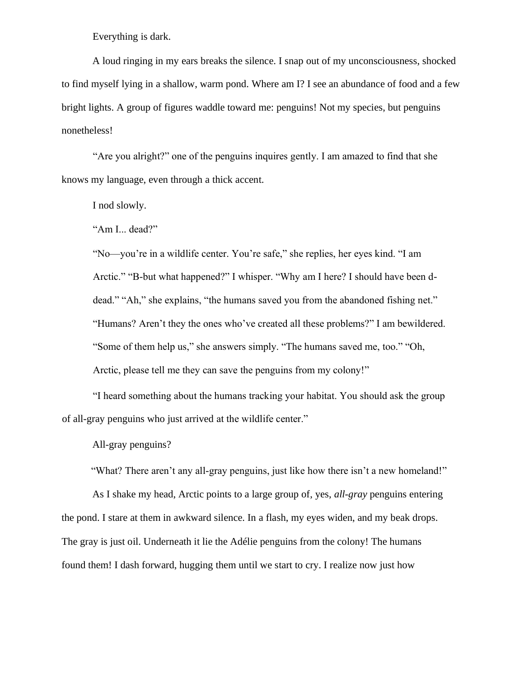Everything is dark.

A loud ringing in my ears breaks the silence. I snap out of my unconsciousness, shocked to find myself lying in a shallow, warm pond. Where am I? I see an abundance of food and a few bright lights. A group of figures waddle toward me: penguins! Not my species, but penguins nonetheless!

"Are you alright?" one of the penguins inquires gently. I am amazed to find that she knows my language, even through a thick accent.

I nod slowly.

"Am I... dead?"

"No—you're in a wildlife center. You're safe," she replies, her eyes kind. "I am Arctic." "B-but what happened?" I whisper. "Why am I here? I should have been ddead." "Ah," she explains, "the humans saved you from the abandoned fishing net." "Humans? Aren't they the ones who've created all these problems?" I am bewildered. "Some of them help us," she answers simply. "The humans saved me, too." "Oh, Arctic, please tell me they can save the penguins from my colony!"

"I heard something about the humans tracking your habitat. You should ask the group of all-gray penguins who just arrived at the wildlife center."

All-gray penguins?

"What? There aren't any all-gray penguins, just like how there isn't a new homeland!"

As I shake my head, Arctic points to a large group of, yes, *all-gray* penguins entering the pond. I stare at them in awkward silence. In a flash, my eyes widen, and my beak drops. The gray is just oil. Underneath it lie the Adélie penguins from the colony! The humans found them! I dash forward, hugging them until we start to cry. I realize now just how